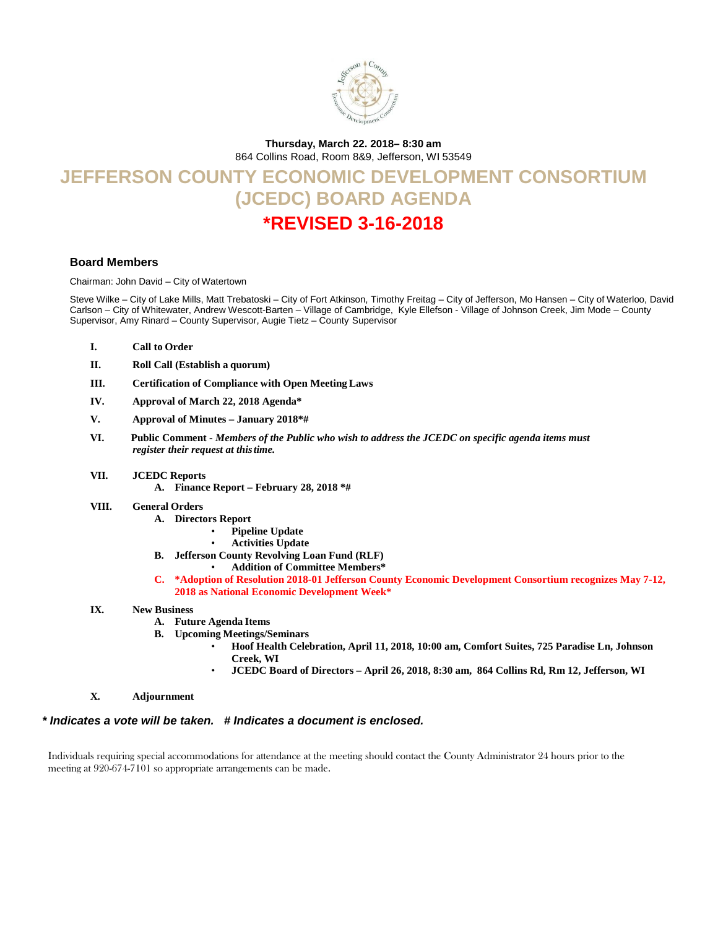

**Thursday, March 22. 2018– 8:30 am**

864 Collins Road, Room 8&9, Jefferson, WI 53549

# **JEFFERSON COUNTY ECONOMIC DEVELOPMENT CONSORTIUM (JCEDC) BOARD AGENDA \*REVISED 3-16-2018**

### **Board Members**

Chairman: John David – City of Watertown

Steve Wilke – City of Lake Mills, Matt Trebatoski – City of Fort Atkinson, Timothy Freitag – City of Jefferson, Mo Hansen – City of Waterloo, David Carlson – City of Whitewater, Andrew Wescott-Barten – Village of Cambridge, Kyle Ellefson - Village of Johnson Creek, Jim Mode – County Supervisor, Amy Rinard – County Supervisor, Augie Tietz – County Supervisor

- **I. Call to Order**
- **II. Roll Call (Establish a quorum)**
- **III. Certification of Compliance with Open Meeting Laws**
- **IV. Approval of March 22, 2018 Agenda\***
- **V. Approval of Minutes – January 2018\*#**
- **VI.****Public Comment -** *Members of the Public who wish to address the JCEDC on specific agenda items must register their request at thistime.*
- **VII. JCEDC Reports**
	- **A. Finance Report – February 28, 2018 \*#**
- **VIII. General Orders**
	- **A. Directors Report**
		- **Pipeline Update**
		- **Activities Update**
	- **B. Jefferson County Revolving Loan Fund (RLF)**
		- **Addition of Committee Members\***
	- **C. \*Adoption of Resolution 2018-01 Jefferson County Economic Development Consortium recognizes May 7-12, 2018 as National Economic Development Week\***

#### **IX. New Business**

- **A. Future Agenda Items**
- **B. Upcoming Meetings/Seminars**
	- **Hoof Health Celebration, April 11, 2018, 10:00 am, Comfort Suites, 725 Paradise Ln, Johnson Creek, WI**
	- **JCEDC Board of Directors – April 26, 2018, 8:30 am, 864 Collins Rd, Rm 12, Jefferson, WI**
- **X. Adjournment**

*\* Indicates a vote will be taken. # Indicates a document is enclosed.*

Individuals requiring special accommodations for attendance at the meeting should contact the County Administrator 24 hours prior to the meeting at 920-674-7101 so appropriate arrangements can be made.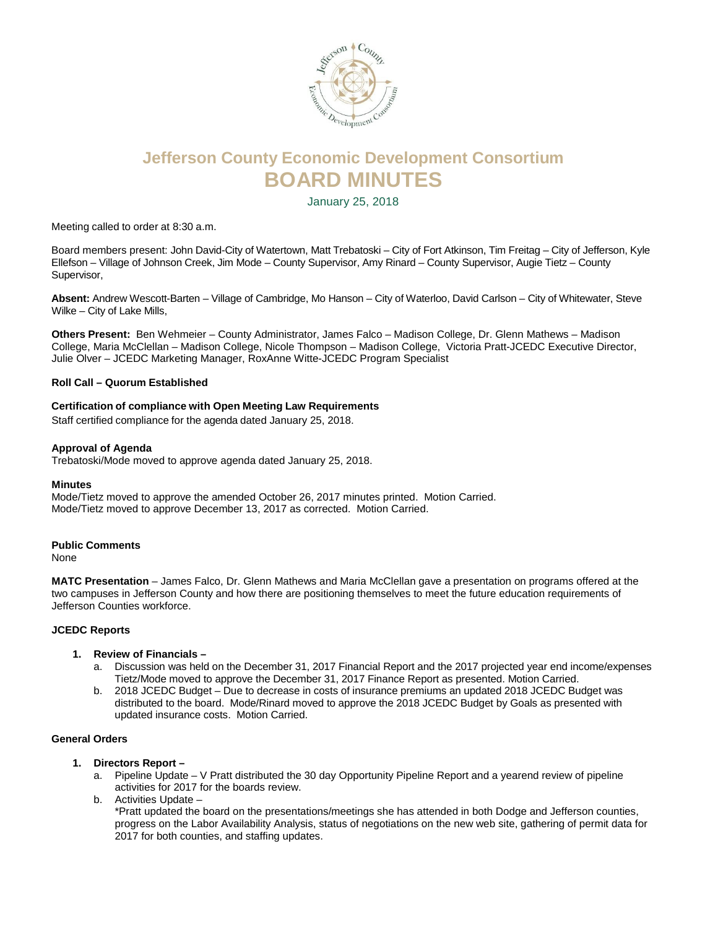

# **Jefferson County Economic Development Consortium BOARD MINUTES**

January 25, 2018

Meeting called to order at 8:30 a.m.

Board members present: John David-City of Watertown, Matt Trebatoski – City of Fort Atkinson, Tim Freitag – City of Jefferson, Kyle Ellefson – Village of Johnson Creek, Jim Mode – County Supervisor, Amy Rinard – County Supervisor, Augie Tietz – County Supervisor,

**Absent:** Andrew Wescott-Barten – Village of Cambridge, Mo Hanson – City of Waterloo, David Carlson – City of Whitewater, Steve Wilke – City of Lake Mills,

**Others Present:** Ben Wehmeier – County Administrator, James Falco – Madison College, Dr. Glenn Mathews – Madison College, Maria McClellan – Madison College, Nicole Thompson – Madison College, Victoria Pratt-JCEDC Executive Director, Julie Olver – JCEDC Marketing Manager, RoxAnne Witte-JCEDC Program Specialist

## **Roll Call – Quorum Established**

## **Certification of compliance with Open Meeting Law Requirements**

Staff certified compliance for the agenda dated January 25, 2018.

#### **Approval of Agenda**

Trebatoski/Mode moved to approve agenda dated January 25, 2018.

#### **Minutes**

Mode/Tietz moved to approve the amended October 26, 2017 minutes printed. Motion Carried. Mode/Tietz moved to approve December 13, 2017 as corrected. Motion Carried.

#### **Public Comments**

None

**MATC Presentation** – James Falco, Dr. Glenn Mathews and Maria McClellan gave a presentation on programs offered at the two campuses in Jefferson County and how there are positioning themselves to meet the future education requirements of Jefferson Counties workforce.

#### **JCEDC Reports**

- **1. Review of Financials –**
	- a. Discussion was held on the December 31, 2017 Financial Report and the 2017 projected year end income/expenses Tietz/Mode moved to approve the December 31, 2017 Finance Report as presented. Motion Carried.
	- b. 2018 JCEDC Budget Due to decrease in costs of insurance premiums an updated 2018 JCEDC Budget was distributed to the board. Mode/Rinard moved to approve the 2018 JCEDC Budget by Goals as presented with updated insurance costs. Motion Carried.

#### **General Orders**

- **1. Directors Report –**
	- a. Pipeline Update V Pratt distributed the 30 day Opportunity Pipeline Report and a yearend review of pipeline activities for 2017 for the boards review.
	- b. Activities Update –

\*Pratt updated the board on the presentations/meetings she has attended in both Dodge and Jefferson counties, progress on the Labor Availability Analysis, status of negotiations on the new web site, gathering of permit data for 2017 for both counties, and staffing updates.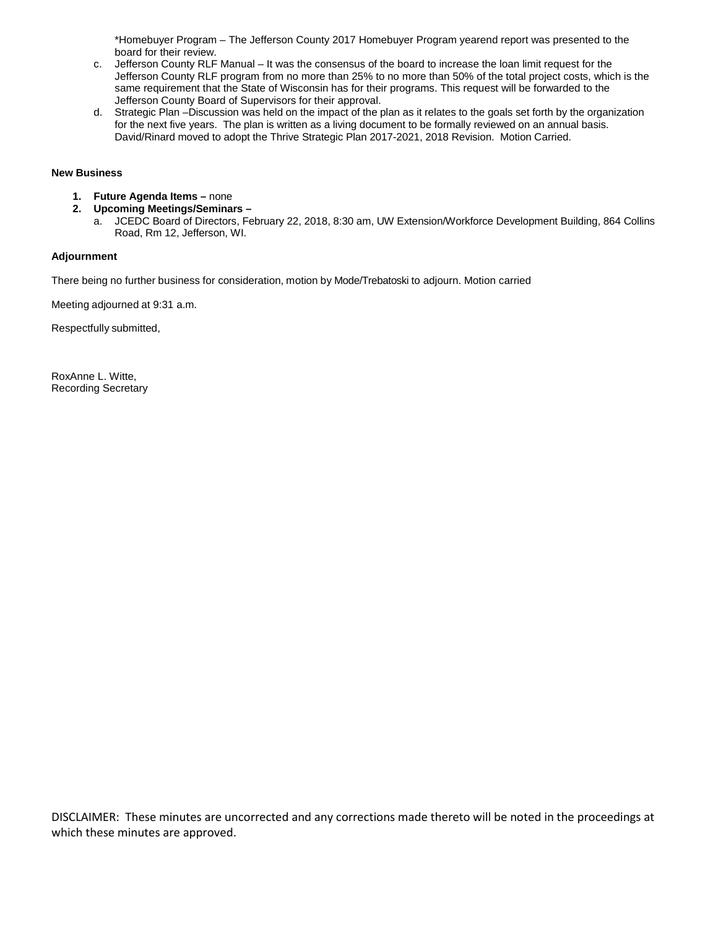\*Homebuyer Program – The Jefferson County 2017 Homebuyer Program yearend report was presented to the board for their review.

- c. Jefferson County RLF Manual It was the consensus of the board to increase the loan limit request for the Jefferson County RLF program from no more than 25% to no more than 50% of the total project costs, which is the same requirement that the State of Wisconsin has for their programs. This request will be forwarded to the Jefferson County Board of Supervisors for their approval.
- d. Strategic Plan –Discussion was held on the impact of the plan as it relates to the goals set forth by the organization for the next five years. The plan is written as a living document to be formally reviewed on an annual basis. David/Rinard moved to adopt the Thrive Strategic Plan 2017-2021, 2018 Revision. Motion Carried.

#### **New Business**

- **1. Future Agenda Items –** none
- **2. Upcoming Meetings/Seminars –**
	- a. JCEDC Board of Directors, February 22, 2018, 8:30 am, UW Extension/Workforce Development Building, 864 Collins Road, Rm 12, Jefferson, WI.

#### **Adjournment**

There being no further business for consideration, motion by Mode/Trebatoski to adjourn. Motion carried

Meeting adjourned at 9:31 a.m.

Respectfully submitted,

RoxAnne L. Witte, Recording Secretary

DISCLAIMER: These minutes are uncorrected and any corrections made thereto will be noted in the proceedings at which these minutes are approved.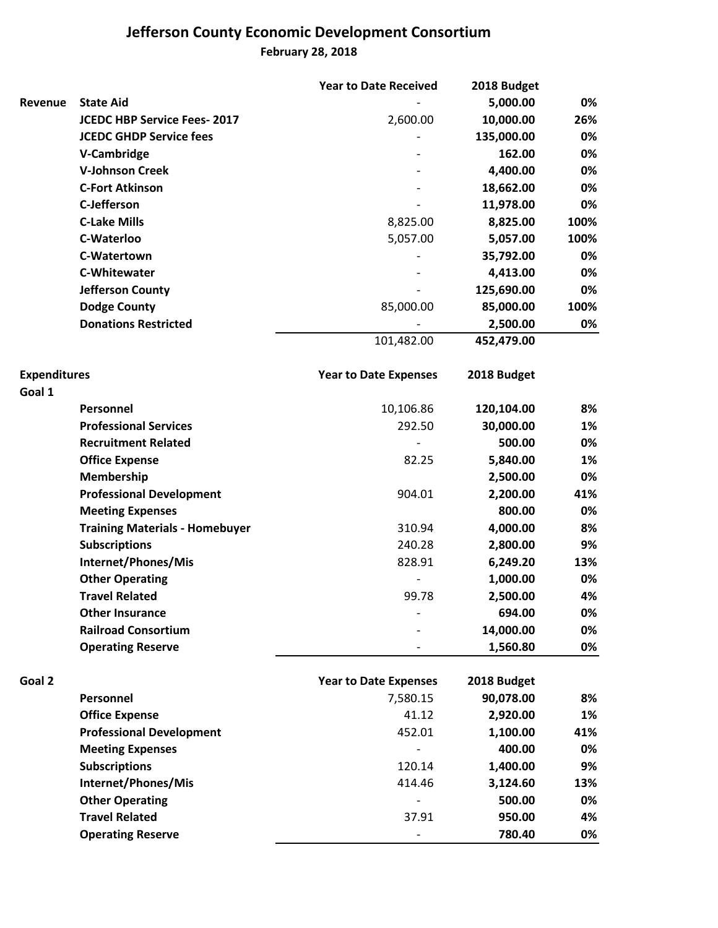## **Jefferson County Economic Development Consortium February 28, 2018**

|                     |                                       | <b>Year to Date Received</b> | 2018 Budget |      |
|---------------------|---------------------------------------|------------------------------|-------------|------|
| Revenue             | <b>State Aid</b>                      |                              | 5,000.00    | 0%   |
|                     | <b>JCEDC HBP Service Fees-2017</b>    | 2,600.00                     | 10,000.00   | 26%  |
|                     | <b>JCEDC GHDP Service fees</b>        |                              | 135,000.00  | 0%   |
|                     | V-Cambridge                           |                              | 162.00      | 0%   |
|                     | <b>V-Johnson Creek</b>                |                              | 4,400.00    | 0%   |
|                     | <b>C-Fort Atkinson</b>                |                              | 18,662.00   | 0%   |
|                     | <b>C-Jefferson</b>                    |                              | 11,978.00   | 0%   |
|                     | <b>C-Lake Mills</b>                   | 8,825.00                     | 8,825.00    | 100% |
|                     | C-Waterloo                            | 5,057.00                     | 5,057.00    | 100% |
|                     | C-Watertown                           |                              | 35,792.00   | 0%   |
|                     | C-Whitewater                          |                              | 4,413.00    | 0%   |
|                     | <b>Jefferson County</b>               |                              | 125,690.00  | 0%   |
|                     | <b>Dodge County</b>                   | 85,000.00                    | 85,000.00   | 100% |
|                     | <b>Donations Restricted</b>           |                              | 2,500.00    | 0%   |
|                     |                                       | 101,482.00                   | 452,479.00  |      |
| <b>Expenditures</b> |                                       | <b>Year to Date Expenses</b> | 2018 Budget |      |
| Goal 1              |                                       |                              |             |      |
|                     | Personnel                             | 10,106.86                    | 120,104.00  | 8%   |
|                     | <b>Professional Services</b>          | 292.50                       | 30,000.00   | 1%   |
|                     | <b>Recruitment Related</b>            |                              | 500.00      | 0%   |
|                     | <b>Office Expense</b>                 | 82.25                        | 5,840.00    | 1%   |
|                     | Membership                            |                              | 2,500.00    | 0%   |
|                     | <b>Professional Development</b>       | 904.01                       | 2,200.00    | 41%  |
|                     | <b>Meeting Expenses</b>               |                              | 800.00      | 0%   |
|                     | <b>Training Materials - Homebuyer</b> | 310.94                       | 4,000.00    | 8%   |
|                     | <b>Subscriptions</b>                  | 240.28                       | 2,800.00    | 9%   |
|                     | Internet/Phones/Mis                   | 828.91                       | 6,249.20    | 13%  |
|                     | <b>Other Operating</b>                |                              | 1,000.00    | 0%   |
|                     | <b>Travel Related</b>                 | 99.78                        | 2,500.00    | 4%   |
|                     | <b>Other Insurance</b>                |                              | 694.00      | 0%   |
|                     | <b>Railroad Consortium</b>            |                              | 14,000.00   | 0%   |
|                     | <b>Operating Reserve</b>              |                              | 1,560.80    | 0%   |
| Goal 2              |                                       | <b>Year to Date Expenses</b> | 2018 Budget |      |
|                     | Personnel                             | 7,580.15                     | 90,078.00   | 8%   |
|                     | <b>Office Expense</b>                 | 41.12                        | 2,920.00    | 1%   |
|                     | <b>Professional Development</b>       | 452.01                       | 1,100.00    | 41%  |
|                     | <b>Meeting Expenses</b>               |                              | 400.00      | 0%   |
|                     | <b>Subscriptions</b>                  | 120.14                       | 1,400.00    | 9%   |
|                     | Internet/Phones/Mis                   | 414.46                       | 3,124.60    | 13%  |
|                     | <b>Other Operating</b>                |                              | 500.00      | 0%   |
|                     | <b>Travel Related</b>                 | 37.91                        | 950.00      | 4%   |
|                     | <b>Operating Reserve</b>              |                              | 780.40      | 0%   |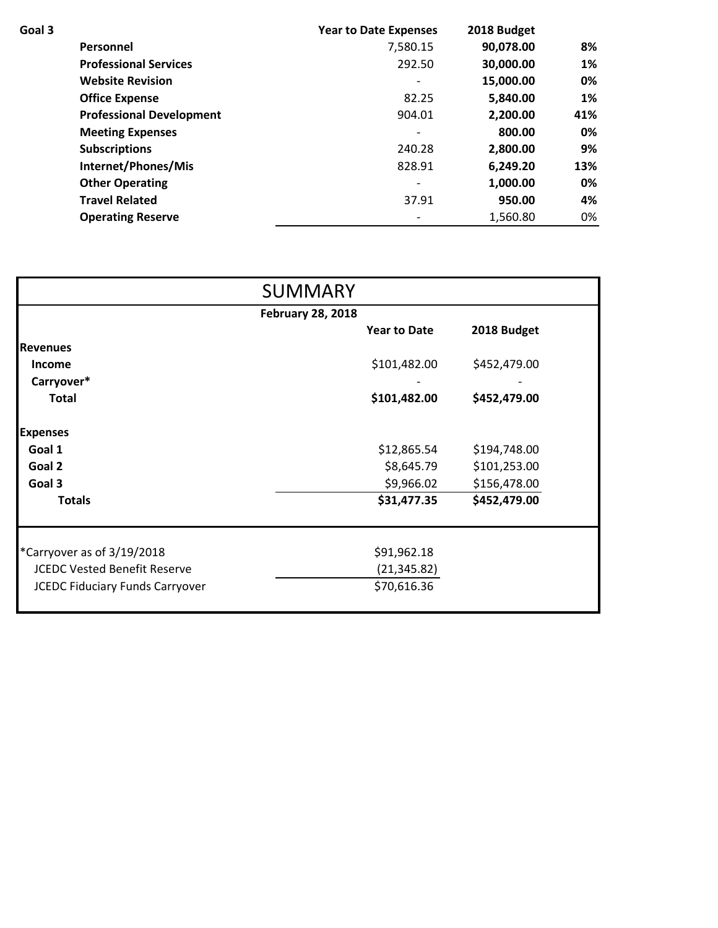| Goal 3 |                                 | <b>Year to Date Expenses</b> | 2018 Budget |     |
|--------|---------------------------------|------------------------------|-------------|-----|
|        | <b>Personnel</b>                | 7,580.15                     | 90,078.00   | 8%  |
|        | <b>Professional Services</b>    | 292.50                       | 30,000.00   | 1%  |
|        | <b>Website Revision</b>         |                              | 15,000.00   | 0%  |
|        | <b>Office Expense</b>           | 82.25                        | 5,840.00    | 1%  |
|        | <b>Professional Development</b> | 904.01                       | 2,200.00    | 41% |
|        | <b>Meeting Expenses</b>         |                              | 800.00      | 0%  |
|        | <b>Subscriptions</b>            | 240.28                       | 2,800.00    | 9%  |
|        | Internet/Phones/Mis             | 828.91                       | 6,249.20    | 13% |
|        | <b>Other Operating</b>          |                              | 1,000.00    | 0%  |
|        | <b>Travel Related</b>           | 37.91                        | 950.00      | 4%  |
|        | <b>Operating Reserve</b>        |                              | 1,560.80    | 0%  |

|                                        | <b>SUMMARY</b>      |              |  |  |  |  |
|----------------------------------------|---------------------|--------------|--|--|--|--|
| <b>February 28, 2018</b>               |                     |              |  |  |  |  |
|                                        | <b>Year to Date</b> | 2018 Budget  |  |  |  |  |
| <b>Revenues</b>                        |                     |              |  |  |  |  |
| <b>Income</b>                          | \$101,482.00        | \$452,479.00 |  |  |  |  |
| Carryover*                             |                     |              |  |  |  |  |
| <b>Total</b>                           | \$101,482.00        | \$452,479.00 |  |  |  |  |
| <b>Expenses</b>                        |                     |              |  |  |  |  |
| Goal 1                                 | \$12,865.54         | \$194,748.00 |  |  |  |  |
| Goal 2                                 | \$8,645.79          | \$101,253.00 |  |  |  |  |
| Goal 3                                 | \$9,966.02          | \$156,478.00 |  |  |  |  |
| <b>Totals</b>                          | \$31,477.35         | \$452,479.00 |  |  |  |  |
| *Carryover as of 3/19/2018             | \$91,962.18         |              |  |  |  |  |
| <b>JCEDC Vested Benefit Reserve</b>    | (21, 345.82)        |              |  |  |  |  |
| <b>JCEDC Fiduciary Funds Carryover</b> | \$70,616.36         |              |  |  |  |  |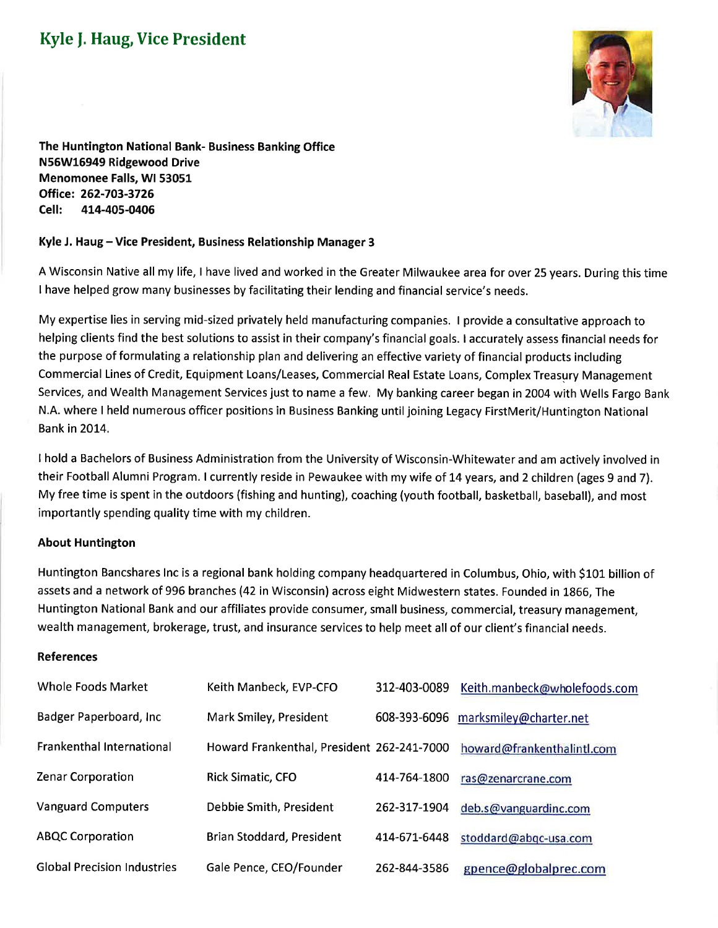## **Kyle J. Haug, Vice President**



The Huntington National Bank- Business Banking Office N56W16949 Ridgewood Drive Menomonee Falls, WI 53051 Office: 262-703-3726 Cell: 414-405-0406

## Kyle J. Haug – Vice President, Business Relationship Manager 3

A Wisconsin Native all my life, I have lived and worked in the Greater Milwaukee area for over 25 years. During this time I have helped grow many businesses by facilitating their lending and financial service's needs.

My expertise lies in serving mid-sized privately held manufacturing companies. I provide a consultative approach to helping clients find the best solutions to assist in their company's financial goals. I accurately assess financial needs for the purpose of formulating a relationship plan and delivering an effective variety of financial products including Commercial Lines of Credit, Equipment Loans/Leases, Commercial Real Estate Loans, Complex Treasury Management Services, and Wealth Management Services just to name a few. My banking career began in 2004 with Wells Fargo Bank N.A. where I held numerous officer positions in Business Banking until joining Legacy FirstMerit/Huntington National **Bank in 2014.** 

I hold a Bachelors of Business Administration from the University of Wisconsin-Whitewater and am actively involved in their Football Alumni Program. I currently reside in Pewaukee with my wife of 14 years, and 2 children (ages 9 and 7). My free time is spent in the outdoors (fishing and hunting), coaching (youth football, basketball, baseball), and most importantly spending quality time with my children.

## **About Huntington**

Huntington Bancshares Inc is a regional bank holding company headquartered in Columbus, Ohio, with \$101 billion of assets and a network of 996 branches (42 in Wisconsin) across eight Midwestern states. Founded in 1866, The Huntington National Bank and our affiliates provide consumer, small business, commercial, treasury management. wealth management, brokerage, trust, and insurance services to help meet all of our client's financial needs.

## **References**

| Whole Foods Market                 | Keith Manbeck, EVP-CFO                     | 312-403-0089 | Keith.manbeck@wholefoods.com |
|------------------------------------|--------------------------------------------|--------------|------------------------------|
| Badger Paperboard, Inc.            | Mark Smiley, President                     | 608-393-6096 | marksmiley@charter.net       |
| <b>Frankenthal International</b>   | Howard Frankenthal, President 262-241-7000 |              | howard@frankenthalintl.com   |
| <b>Zenar Corporation</b>           | <b>Rick Simatic, CFO</b>                   | 414-764-1800 | ras@zenarcrane.com           |
| <b>Vanguard Computers</b>          | Debbie Smith, President                    | 262-317-1904 | deb.s@vanguardinc.com        |
| <b>ABQC Corporation</b>            | <b>Brian Stoddard, President</b>           | 414-671-6448 | stoddard@abqc-usa.com        |
| <b>Global Precision Industries</b> | Gale Pence, CEO/Founder                    | 262-844-3586 | gpence@globalprec.com        |